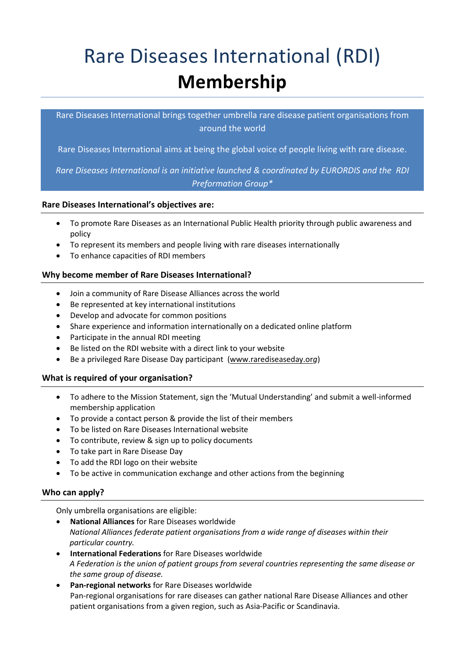# Rare Diseases International (RDI) **Membership**

Rare Diseases International brings together umbrella rare disease patient organisations from around the world

Rare Diseases International aims at being the global voice of people living with rare disease.

*Rare Diseases International is an initiative launched & coordinated by EURORDIS and the RDI Preformation Group\**

# **Rare Diseases International's objectives are:**

- To promote Rare Diseases as an International Public Health priority through public awareness and policy
- To represent its members and people living with rare diseases internationally
- To enhance capacities of RDI members

# **Why become member of Rare Diseases International?**

- Join a community of Rare Disease Alliances across the world
- Be represented at key international institutions
- Develop and advocate for common positions
- Share experience and information internationally on a dedicated online platform
- Participate in the annual RDI meeting
- Be listed on the RDI website with a direct link to your website
- Be a privileged Rare Disease Day participant [\(www.rarediseaseday.or](http://www.rarediseaseday.org/)*g*)

## **What is required of your organisation?**

- To adhere to the Mission Statement, sign the 'Mutual Understanding' and submit a well-informed membership application
- To provide a contact person & provide the list of their members
- To be listed on Rare Diseases International website
- To contribute, review & sign up to policy documents
- To take part in Rare Disease Day
- To add the RDI logo on their website
- To be active in communication exchange and other actions from the beginning

# **Who can apply?**

Only umbrella organisations are eligible:

- **National Alliances** for Rare Diseases worldwide *National Alliances federate patient organisations from a wide range of diseases within their particular country.*
- **International Federations** for Rare Diseases worldwide *A Federation is the union of patient groups from several countries representing the same disease or the same group of disease.*
- **Pan-regional networks** for Rare Diseases worldwide Pan-regional organisations for rare diseases can gather national Rare Disease Alliances and other patient organisations from a given region, such as Asia-Pacific or Scandinavia.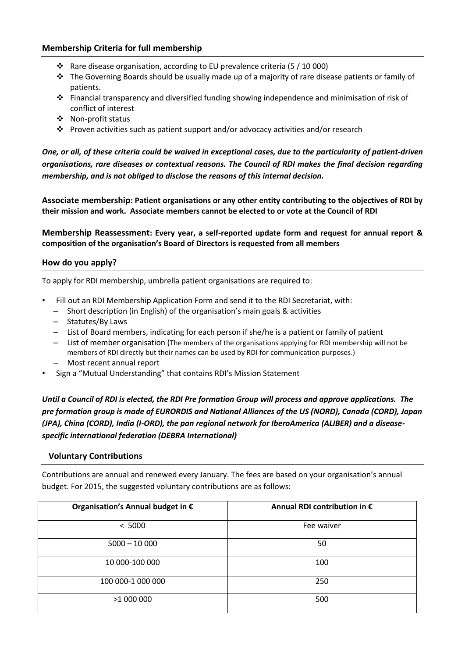## **Membership Criteria for full membership**

- $\cdot$  Rare disease organisation, according to EU prevalence criteria (5 / 10 000)
- $\cdot \cdot$  The Governing Boards should be usually made up of a majority of rare disease patients or family of patients.
- Financial transparency and diversified funding showing independence and minimisation of risk of conflict of interest
- Non-profit status
- $\dots$  Proven activities such as patient support and/or advocacy activities and/or research

*One, or all, of these criteria could be waived in exceptional cases, due to the particularity of patient-driven organisations, rare diseases or contextual reasons. The Council of RDI makes the final decision regarding membership, and is not obliged to disclose the reasons of this internal decision.*

**Associate membership: Patient organisations or any other entity contributing to the objectives of RDI by their mission and work. Associate members cannot be elected to or vote at the Council of RDI** 

**Membership Reassessment: Every year, a self-reported update form and request for annual report & composition of the organisation's Board of Directors is requested from all members**

## **How do you apply?**

To apply for RDI membership, umbrella patient organisations are required to:

- Fill out an RDI Membership Application Form and send it to the RDI Secretariat, with:
	- Short description (in English) of the organisation's main goals & activities
	- Statutes/By Laws
	- List of Board members, indicating for each person if she/he is a patient or family of patient
	- List of member organisation (The members of the organisations applying for RDI membership will not be members of RDI directly but their names can be used by RDI for communication purposes.)
	- Most recent annual report
- Sign a "Mutual Understanding" that contains RDI's Mission Statement

*Until a Council of RDI is elected, the RDI Pre formation Group will process and approve applications. The pre formation group is made of EURORDIS and National Alliances of the US (NORD), Canada (CORD), Japan (JPA), China (CORD), India (I-ORD), the pan regional network for IberoAmerica (ALIBER) and a diseasespecific international federation (DEBRA International)*

# **Voluntary Contributions**

Contributions are annual and renewed every January. The fees are based on your organisation's annual budget. For 2015, the suggested voluntary contributions are as follows:

| Organisation's Annual budget in € | Annual RDI contribution in $\epsilon$ |
|-----------------------------------|---------------------------------------|
| < 5000                            | Fee waiver                            |
| $5000 - 10000$                    | 50                                    |
| 10 000-100 000                    | 100                                   |
| 100 000-1 000 000                 | 250                                   |
| >1 000 000                        | 500                                   |